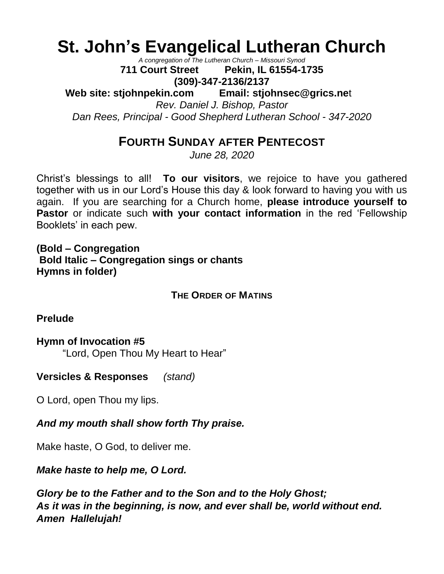# **St. John's Evangelical Lutheran Church**

*A congregation of The Lutheran Church – Missouri Synod*

**711 Court Street Pekin, IL 61554-1735 (309)-347-2136/2137**

**Web site: stjohnpekin.com Email: [stjohnsec@grics.ne](mailto:stjohnsec@grics.net)**t

*Rev. Daniel J. Bishop, Pastor*

*Dan Rees, Principal - Good Shepherd Lutheran School - 347-2020*

# **FOURTH SUNDAY AFTER PENTECOST**

*June 28, 2020*

Christ's blessings to all! **To our visitors**, we rejoice to have you gathered together with us in our Lord's House this day & look forward to having you with us again. If you are searching for a Church home, **please introduce yourself to Pastor** or indicate such with your contact information in the red 'Fellowship Booklets' in each pew.

**(Bold – Congregation Bold Italic – Congregation sings or chants Hymns in folder)**

**THE ORDER OF MATINS** 

**Prelude**

### **Hymn of Invocation #5**

"Lord, Open Thou My Heart to Hear"

**Versicles & Responses** *(stand)*

O Lord, open Thou my lips.

*And my mouth shall show forth Thy praise.*

Make haste, O God, to deliver me.

### *Make haste to help me, O Lord.*

*Glory be to the Father and to the Son and to the Holy Ghost; As it was in the beginning, is now, and ever shall be, world without end. Amen Hallelujah!*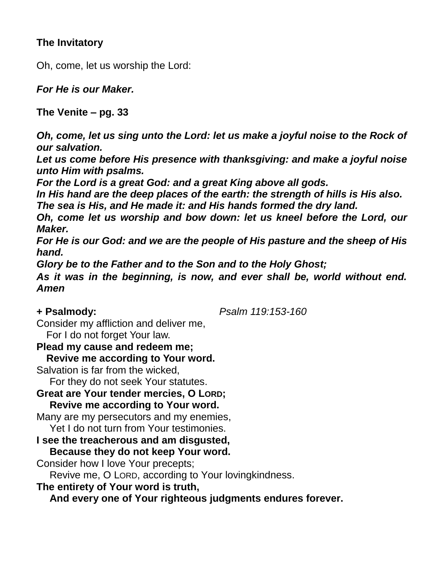# **The Invitatory**

Oh, come, let us worship the Lord:

*For He is our Maker.*

**The Venite – pg. 33** 

*Oh, come, let us sing unto the Lord: let us make a joyful noise to the Rock of our salvation.* 

*Let us come before His presence with thanksgiving: and make a joyful noise unto Him with psalms.*

*For the Lord is a great God: and a great King above all gods.* 

*In His hand are the deep places of the earth: the strength of hills is His also.*

*The sea is His, and He made it: and His hands formed the dry land.* 

*Oh, come let us worship and bow down: let us kneel before the Lord, our Maker.*

*For He is our God: and we are the people of His pasture and the sheep of His hand.*

*Glory be to the Father and to the Son and to the Holy Ghost;*

*As it was in the beginning, is now, and ever shall be, world without end. Amen* 

**+ Psalmody:** *Psalm 119:153-160*

Consider my affliction and deliver me,

For I do not forget Your law.

**Plead my cause and redeem me;**

**Revive me according to Your word.**

Salvation is far from the wicked,

For they do not seek Your statutes.

**Great are Your tender mercies, O LORD; Revive me according to Your word.**

Many are my persecutors and my enemies,

Yet I do not turn from Your testimonies.

**I see the treacherous and am disgusted, Because they do not keep Your word.**

Consider how I love Your precepts;

Revive me, O LORD, according to Your lovingkindness.

**The entirety of Your word is truth,**

**And every one of Your righteous judgments endures forever.**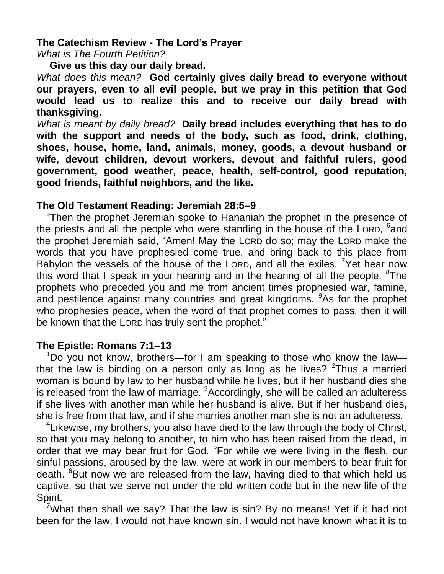## **The Catechism Review - The Lord's Prayer**

*What is The Fourth Petition?*

**Give us this day our daily bread.**

*What does this mean?* **God certainly gives daily bread to everyone without our prayers, even to all evil people, but we pray in this petition that God would lead us to realize this and to receive our daily bread with thanksgiving.**

*What is meant by daily bread?* **Daily bread includes everything that has to do with the support and needs of the body, such as food, drink, clothing, shoes, house, home, land, animals, money, goods, a devout husband or wife, devout children, devout workers, devout and faithful rulers, good government, good weather, peace, health, self-control, good reputation, good friends, faithful neighbors, and the like.**

### **The Old Testament Reading: Jeremiah 28:5–9**

<sup>5</sup>Then the prophet Jeremiah spoke to Hananiah the prophet in the presence of the priests and all the people who were standing in the house of the LORD, <sup>6</sup>and the prophet Jeremiah said, "Amen! May the LORD do so; may the LORD make the words that you have prophesied come true, and bring back to this place from Babylon the vessels of the house of the LORD, and all the exiles. <sup>7</sup>Yet hear now this word that I speak in your hearing and in the hearing of all the people.  ${}^{8}$ The prophets who preceded you and me from ancient times prophesied war, famine, and pestilence against many countries and great kingdoms. <sup>9</sup>As for the prophet who prophesies peace, when the word of that prophet comes to pass, then it will be known that the LORD has truly sent the prophet."

# **The Epistle: Romans 7:1–13**

<sup>1</sup>Do you not know, brothers—for I am speaking to those who know the law that the law is binding on a person only as long as he lives?  $2$ Thus a married woman is bound by law to her husband while he lives, but if her husband dies she is released from the law of marriage. <sup>3</sup>Accordingly, she will be called an adulteress if she lives with another man while her husband is alive. But if her husband dies, she is free from that law, and if she marries another man she is not an adulteress.

 $4$ Likewise, my brothers, you also have died to the law through the body of Christ, so that you may belong to another, to him who has been raised from the dead, in order that we may bear fruit for God. <sup>5</sup> For while we were living in the flesh, our sinful passions, aroused by the law, were at work in our members to bear fruit for death. <sup>6</sup>But now we are released from the law, having died to that which held us captive, so that we serve not under the old written code but in the new life of the Spirit.

What then shall we say? That the law is sin? By no means! Yet if it had not been for the law, I would not have known sin. I would not have known what it is to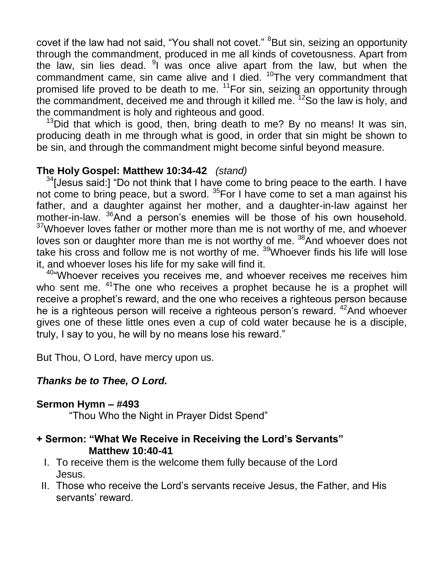covet if the law had not said, "You shall not covet." <sup>8</sup>But sin, seizing an opportunity through the commandment, produced in me all kinds of covetousness. Apart from the law, sin lies dead. <sup>9</sup>I was once alive apart from the law, but when the commandment came, sin came alive and I died.  $10$ The very commandment that promised life proved to be death to me. <sup>11</sup>For sin, seizing an opportunity through the commandment, deceived me and through it killed me.  $12$ So the law is holy, and the commandment is holy and righteous and good.

 $13$ Did that which is good, then, bring death to me? By no means! It was sin, producing death in me through what is good, in order that sin might be shown to be sin, and through the commandment might become sinful beyond measure.

# **The Holy Gospel: Matthew 10:34-42** *(stand)*

 $34$ [Jesus said:] "Do not think that I have come to bring peace to the earth. I have not come to bring peace, but a sword. <sup>35</sup>For I have come to set a man against his father, and a daughter against her mother, and a daughter-in-law against her mother-in-law. <sup>36</sup>And a person's enemies will be those of his own household.  $37$ Whoever loves father or mother more than me is not worthy of me, and whoever loves son or daughter more than me is not worthy of me. <sup>38</sup>And whoever does not take his cross and follow me is not worthy of me. <sup>39</sup>Whoever finds his life will lose it, and whoever loses his life for my sake will find it.

<sup>40</sup> Whoever receives you receives me, and whoever receives me receives him who sent me. <sup>41</sup>The one who receives a prophet because he is a prophet will receive a prophet's reward, and the one who receives a righteous person because he is a righteous person will receive a righteous person's reward. <sup>42</sup>And whoever gives one of these little ones even a cup of cold water because he is a disciple, truly, I say to you, he will by no means lose his reward."

But Thou, O Lord, have mercy upon us.

# *Thanks be to Thee, O Lord.*

# **Sermon Hymn – #493**

"Thou Who the Night in Prayer Didst Spend"

# **+ Sermon: "What We Receive in Receiving the Lord's Servants" Matthew 10:40-41**

- I. To receive them is the welcome them fully because of the Lord Jesus.
- II. Those who receive the Lord's servants receive Jesus, the Father, and His servants' reward.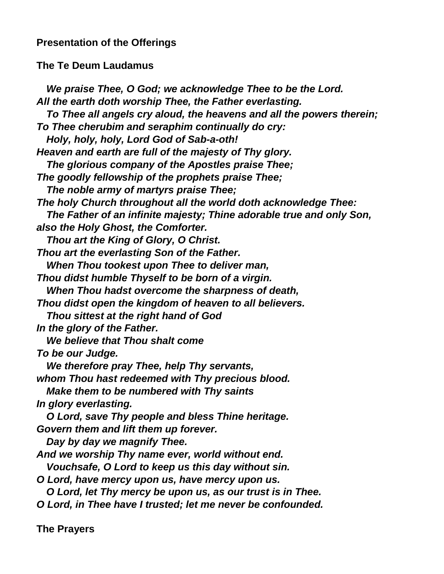# **Presentation of the Offerings**

#### **The Te Deum Laudamus**

*We praise Thee, O God; we acknowledge Thee to be the Lord. All the earth doth worship Thee, the Father everlasting. To Thee all angels cry aloud, the heavens and all the powers therein; To Thee cherubim and seraphim continually do cry: Holy, holy, holy, Lord God of Sab-a-oth! Heaven and earth are full of the majesty of Thy glory. The glorious company of the Apostles praise Thee; The goodly fellowship of the prophets praise Thee; The noble army of martyrs praise Thee; The holy Church throughout all the world doth acknowledge Thee: The Father of an infinite majesty; Thine adorable true and only Son, also the Holy Ghost, the Comforter. Thou art the King of Glory, O Christ. Thou art the everlasting Son of the Father. When Thou tookest upon Thee to deliver man, Thou didst humble Thyself to be born of a virgin. When Thou hadst overcome the sharpness of death, Thou didst open the kingdom of heaven to all believers. Thou sittest at the right hand of God In the glory of the Father. We believe that Thou shalt come To be our Judge. We therefore pray Thee, help Thy servants, whom Thou hast redeemed with Thy precious blood. Make them to be numbered with Thy saints In glory everlasting. O Lord, save Thy people and bless Thine heritage. Govern them and lift them up forever. Day by day we magnify Thee. And we worship Thy name ever, world without end. Vouchsafe, O Lord to keep us this day without sin. O Lord, have mercy upon us, have mercy upon us. O Lord, let Thy mercy be upon us, as our trust is in Thee. O Lord, in Thee have I trusted; let me never be confounded.*

**The Prayers**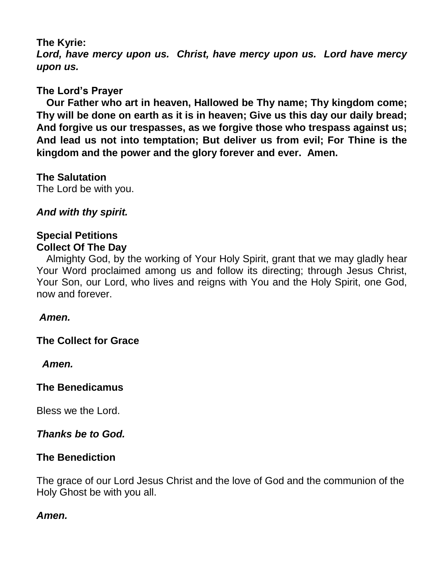# **The Kyrie:**

*Lord, have mercy upon us. Christ, have mercy upon us. Lord have mercy upon us.*

# **The Lord's Prayer**

**Our Father who art in heaven, Hallowed be Thy name; Thy kingdom come; Thy will be done on earth as it is in heaven; Give us this day our daily bread; And forgive us our trespasses, as we forgive those who trespass against us; And lead us not into temptation; But deliver us from evil; For Thine is the kingdom and the power and the glory forever and ever. Amen.**

**The Salutation**  The Lord be with you.

# *And with thy spirit.*

### **Special Petitions Collect Of The Day**

Almighty God, by the working of Your Holy Spirit, grant that we may gladly hear Your Word proclaimed among us and follow its directing; through Jesus Christ, Your Son, our Lord, who lives and reigns with You and the Holy Spirit, one God, now and forever.

### *Amen.*

**The Collect for Grace** 

 *Amen.*

# **The Benedicamus**

Bless we the Lord.

# *Thanks be to God.*

# **The Benediction**

The grace of our Lord Jesus Christ and the love of God and the communion of the Holy Ghost be with you all.

# *Amen.*